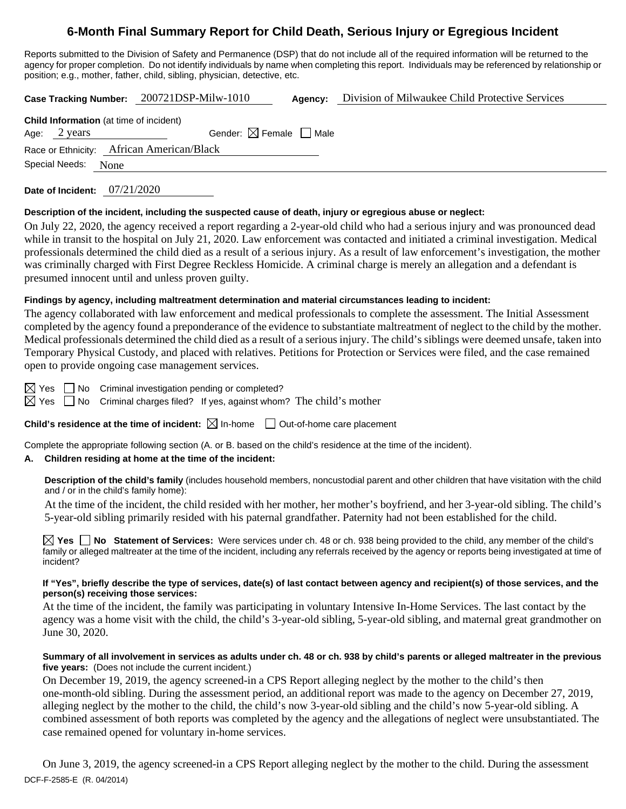# **6-Month Final Summary Report for Child Death, Serious Injury or Egregious Incident**

Reports submitted to the Division of Safety and Permanence (DSP) that do not include all of the required information will be returned to the agency for proper completion. Do not identify individuals by name when completing this report. Individuals may be referenced by relationship or position; e.g., mother, father, child, sibling, physician, detective, etc.

**Case Tracking Number:** 200721DSP-Milw-1010 **Agency:** Division of Milwaukee Child Protective Services

|                        | <b>Child Information</b> (at time of incident) |
|------------------------|------------------------------------------------|
| Age: $2 \text{ years}$ | Gender: $\boxtimes$ Female $\Box$ Male         |
|                        | Race or Ethnicity: African American/Black      |
| Special Needs: None    |                                                |
|                        |                                                |

**Date of Incident:** 07/21/2020

## **Description of the incident, including the suspected cause of death, injury or egregious abuse or neglect:**

On July 22, 2020, the agency received a report regarding a 2-year-old child who had a serious injury and was pronounced dead while in transit to the hospital on July 21, 2020. Law enforcement was contacted and initiated a criminal investigation. Medical professionals determined the child died as a result of a serious injury. As a result of law enforcement's investigation, the mother was criminally charged with First Degree Reckless Homicide. A criminal charge is merely an allegation and a defendant is presumed innocent until and unless proven guilty.

## **Findings by agency, including maltreatment determination and material circumstances leading to incident:**

The agency collaborated with law enforcement and medical professionals to complete the assessment. The Initial Assessment completed by the agency found a preponderance of the evidence to substantiate maltreatment of neglect to the child by the mother. Medical professionals determined the child died as a result of a serious injury. The child's siblings were deemed unsafe, taken into Temporary Physical Custody, and placed with relatives. Petitions for Protection or Services were filed, and the case remained open to provide ongoing case management services.

 $\boxtimes$  Yes  $\Box$  No Criminal investigation pending or completed?

 $\boxtimes$  Yes  $\Box$  No Criminal charges filed? If yes, against whom? The child's mother

**Child's residence at the time of incident:**  $\boxtimes$  In-home  $\Box$  Out-of-home care placement

Complete the appropriate following section (A. or B. based on the child's residence at the time of the incident).

## **A. Children residing at home at the time of the incident:**

**Description of the child's family** (includes household members, noncustodial parent and other children that have visitation with the child and / or in the child's family home):

At the time of the incident, the child resided with her mother, her mother's boyfriend, and her 3-year-old sibling. The child's 5-year-old sibling primarily resided with his paternal grandfather. Paternity had not been established for the child.

**Yes No Statement of Services:** Were services under ch. 48 or ch. 938 being provided to the child, any member of the child's family or alleged maltreater at the time of the incident, including any referrals received by the agency or reports being investigated at time of incident?

### **If "Yes", briefly describe the type of services, date(s) of last contact between agency and recipient(s) of those services, and the person(s) receiving those services:**

At the time of the incident, the family was participating in voluntary Intensive In-Home Services. The last contact by the agency was a home visit with the child, the child's 3-year-old sibling, 5-year-old sibling, and maternal great grandmother on June 30, 2020.

#### **Summary of all involvement in services as adults under ch. 48 or ch. 938 by child's parents or alleged maltreater in the previous five years:** (Does not include the current incident.)

On December 19, 2019, the agency screened-in a CPS Report alleging neglect by the mother to the child's then one-month-old sibling. During the assessment period, an additional report was made to the agency on December 27, 2019, alleging neglect by the mother to the child, the child's now 3-year-old sibling and the child's now 5-year-old sibling. A combined assessment of both reports was completed by the agency and the allegations of neglect were unsubstantiated. The case remained opened for voluntary in-home services.

DCF-F-2585-E (R. 04/2014) On June 3, 2019, the agency screened-in a CPS Report alleging neglect by the mother to the child. During the assessment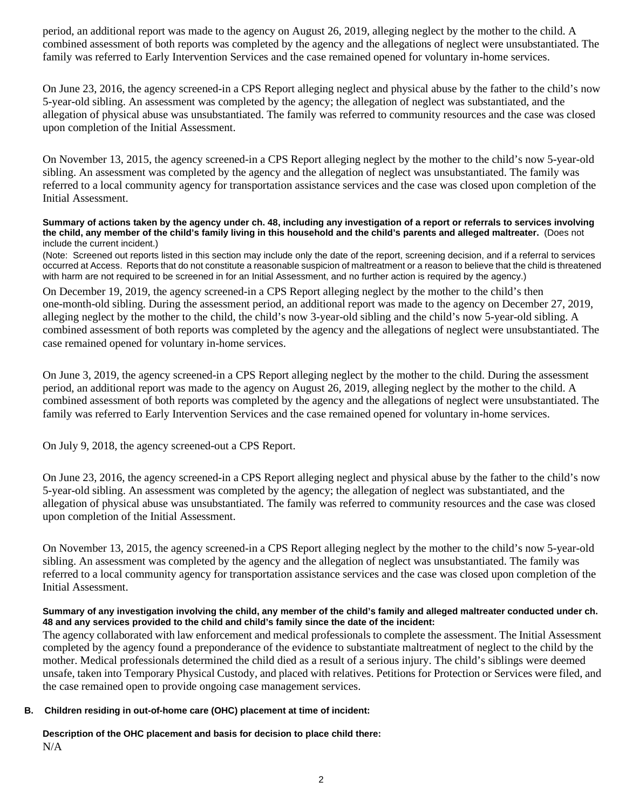period, an additional report was made to the agency on August 26, 2019, alleging neglect by the mother to the child. A combined assessment of both reports was completed by the agency and the allegations of neglect were unsubstantiated. The family was referred to Early Intervention Services and the case remained opened for voluntary in-home services.

On June 23, 2016, the agency screened-in a CPS Report alleging neglect and physical abuse by the father to the child's now 5-year-old sibling. An assessment was completed by the agency; the allegation of neglect was substantiated, and the allegation of physical abuse was unsubstantiated. The family was referred to community resources and the case was closed upon completion of the Initial Assessment.

On November 13, 2015, the agency screened-in a CPS Report alleging neglect by the mother to the child's now 5-year-old sibling. An assessment was completed by the agency and the allegation of neglect was unsubstantiated. The family was referred to a local community agency for transportation assistance services and the case was closed upon completion of the Initial Assessment.

#### **Summary of actions taken by the agency under ch. 48, including any investigation of a report or referrals to services involving the child, any member of the child's family living in this household and the child's parents and alleged maltreater.** (Does not include the current incident.)

(Note: Screened out reports listed in this section may include only the date of the report, screening decision, and if a referral to services occurred at Access. Reports that do not constitute a reasonable suspicion of maltreatment or a reason to believe that the child is threatened with harm are not required to be screened in for an Initial Assessment, and no further action is required by the agency.)

On December 19, 2019, the agency screened-in a CPS Report alleging neglect by the mother to the child's then one-month-old sibling. During the assessment period, an additional report was made to the agency on December 27, 2019, alleging neglect by the mother to the child, the child's now 3-year-old sibling and the child's now 5-year-old sibling. A combined assessment of both reports was completed by the agency and the allegations of neglect were unsubstantiated. The case remained opened for voluntary in-home services.

On June 3, 2019, the agency screened-in a CPS Report alleging neglect by the mother to the child. During the assessment period, an additional report was made to the agency on August 26, 2019, alleging neglect by the mother to the child. A combined assessment of both reports was completed by the agency and the allegations of neglect were unsubstantiated. The family was referred to Early Intervention Services and the case remained opened for voluntary in-home services.

On July 9, 2018, the agency screened-out a CPS Report.

On June 23, 2016, the agency screened-in a CPS Report alleging neglect and physical abuse by the father to the child's now 5-year-old sibling. An assessment was completed by the agency; the allegation of neglect was substantiated, and the allegation of physical abuse was unsubstantiated. The family was referred to community resources and the case was closed upon completion of the Initial Assessment.

On November 13, 2015, the agency screened-in a CPS Report alleging neglect by the mother to the child's now 5-year-old sibling. An assessment was completed by the agency and the allegation of neglect was unsubstantiated. The family was referred to a local community agency for transportation assistance services and the case was closed upon completion of the Initial Assessment.

### **Summary of any investigation involving the child, any member of the child's family and alleged maltreater conducted under ch. 48 and any services provided to the child and child's family since the date of the incident:**

The agency collaborated with law enforcement and medical professionals to complete the assessment. The Initial Assessment completed by the agency found a preponderance of the evidence to substantiate maltreatment of neglect to the child by the mother. Medical professionals determined the child died as a result of a serious injury. The child's siblings were deemed unsafe, taken into Temporary Physical Custody, and placed with relatives. Petitions for Protection or Services were filed, and the case remained open to provide ongoing case management services.

## **B. Children residing in out-of-home care (OHC) placement at time of incident:**

**Description of the OHC placement and basis for decision to place child there:** N/A